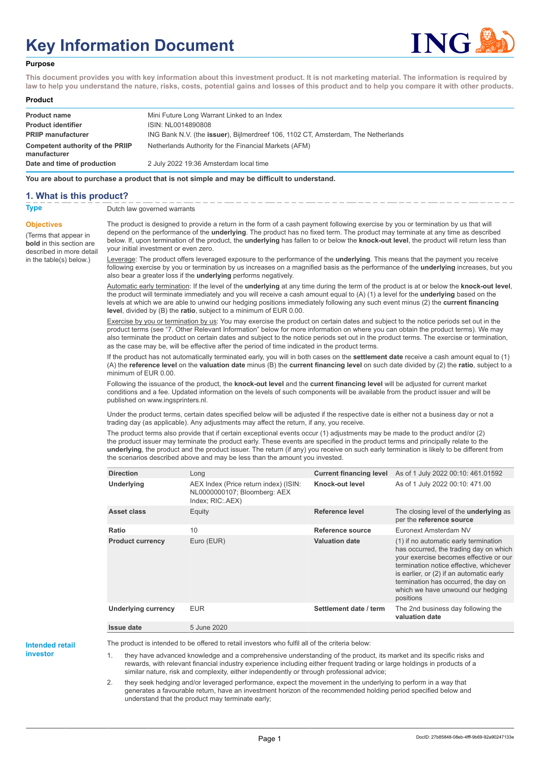# **Key Information Document**



#### **Purpose**

**This document provides you with key information about this investment product. It is not marketing material. The information is required by law to help you understand the nature, risks, costs, potential gains and losses of this product and to help you compare it with other products.**

#### **Product**

| <b>Product name</b>                              | Mini Future Long Warrant Linked to an Index                                       |
|--------------------------------------------------|-----------------------------------------------------------------------------------|
| <b>Product identifier</b>                        | ISIN: NL0014890808                                                                |
| <b>PRIIP manufacturer</b>                        | ING Bank N.V. (the issuer), Bijlmerdreef 106, 1102 CT, Amsterdam, The Netherlands |
| Competent authority of the PRIIP<br>manufacturer | Netherlands Authority for the Financial Markets (AFM)                             |
| Date and time of production                      | 2 July 2022 19:36 Amsterdam local time                                            |

**You are about to purchase a product that is not simple and may be difficult to understand.**

#### **1. What is this product?**

**Objectives**

(Terms that appear in **bold** in this section are

in the table(s) below.)

## **Type** Dutch law governed warrants

described in more detail The product is designed to provide a return in the form of a cash payment following exercise by you or termination by us that will depend on the performance of the **underlying**. The product has no fixed term. The product may terminate at any time as described below. If, upon termination of the product, the **underlying** has fallen to or below the **knock-out level**, the product will return less than your initial investment or even zero.

> Leverage: The product offers leveraged exposure to the performance of the **underlying**. This means that the payment you receive following exercise by you or termination by us increases on a magnified basis as the performance of the **underlying** increases, but you also bear a greater loss if the **underlying** performs negatively.

> Automatic early termination: If the level of the **underlying** at any time during the term of the product is at or below the **knock-out level**, the product will terminate immediately and you will receive a cash amount equal to (A) (1) a level for the **underlying** based on the levels at which we are able to unwind our hedging positions immediately following any such event minus (2) the **current financing level**, divided by (B) the **ratio**, subject to a minimum of EUR 0.00.

> Exercise by you or termination by us: You may exercise the product on certain dates and subject to the notice periods set out in the product terms (see "7. Other Relevant Information" below for more information on where you can obtain the product terms). We may also terminate the product on certain dates and subject to the notice periods set out in the product terms. The exercise or termination, as the case may be, will be effective after the period of time indicated in the product terms.

> If the product has not automatically terminated early, you will in both cases on the **settlement date** receive a cash amount equal to (1) (A) the **reference level** on the **valuation date** minus (B) the **current financing level** on such date divided by (2) the **ratio**, subject to a minimum of EUR 0.00.

Following the issuance of the product, the **knock-out level** and the **current financing level** will be adjusted for current market conditions and a fee. Updated information on the levels of such components will be available from the product issuer and will be published on www.ingsprinters.nl.

Under the product terms, certain dates specified below will be adjusted if the respective date is either not a business day or not a trading day (as applicable). Any adjustments may affect the return, if any, you receive.

The product terms also provide that if certain exceptional events occur (1) adjustments may be made to the product and/or (2) the product issuer may terminate the product early. These events are specified in the product terms and principally relate to the **underlying**, the product and the product issuer. The return (if any) you receive on such early termination is likely to be different from the scenarios described above and may be less than the amount you invested.

| <b>Direction</b>           | Long                                                                                      | <b>Current financing level</b> | As of 1 July 2022 00:10: 461.01592                                                                                                                                                                                                                                                                         |
|----------------------------|-------------------------------------------------------------------------------------------|--------------------------------|------------------------------------------------------------------------------------------------------------------------------------------------------------------------------------------------------------------------------------------------------------------------------------------------------------|
| Underlying                 | AEX Index (Price return index) (ISIN:<br>NL0000000107; Bloomberg: AEX<br>Index; RIC: AEX) | Knock-out level                | As of 1 July 2022 00:10: 471.00                                                                                                                                                                                                                                                                            |
| Asset class                | Equity                                                                                    | Reference level                | The closing level of the <b>underlying</b> as<br>per the reference source                                                                                                                                                                                                                                  |
| Ratio                      | 10                                                                                        | Reference source               | Euronext Amsterdam NV                                                                                                                                                                                                                                                                                      |
| <b>Product currency</b>    | Euro (EUR)                                                                                | <b>Valuation date</b>          | (1) if no automatic early termination<br>has occurred, the trading day on which<br>your exercise becomes effective or our<br>termination notice effective, whichever<br>is earlier, or (2) if an automatic early<br>termination has occurred, the day on<br>which we have unwound our hedging<br>positions |
| <b>Underlying currency</b> | <b>EUR</b>                                                                                | Settlement date / term         | The 2nd business day following the<br>valuation date                                                                                                                                                                                                                                                       |
| <b>Issue date</b>          | 5 June 2020                                                                               |                                |                                                                                                                                                                                                                                                                                                            |

**Intended retail**

**investor**

The product is intended to be offered to retail investors who fulfil all of the criteria below:

they have advanced knowledge and a comprehensive understanding of the product, its market and its specific risks and rewards, with relevant financial industry experience including either frequent trading or large holdings in products of a similar nature, risk and complexity, either independently or through professional advice;

2. they seek hedging and/or leveraged performance, expect the movement in the underlying to perform in a way that generates a favourable return, have an investment horizon of the recommended holding period specified below and understand that the product may terminate early;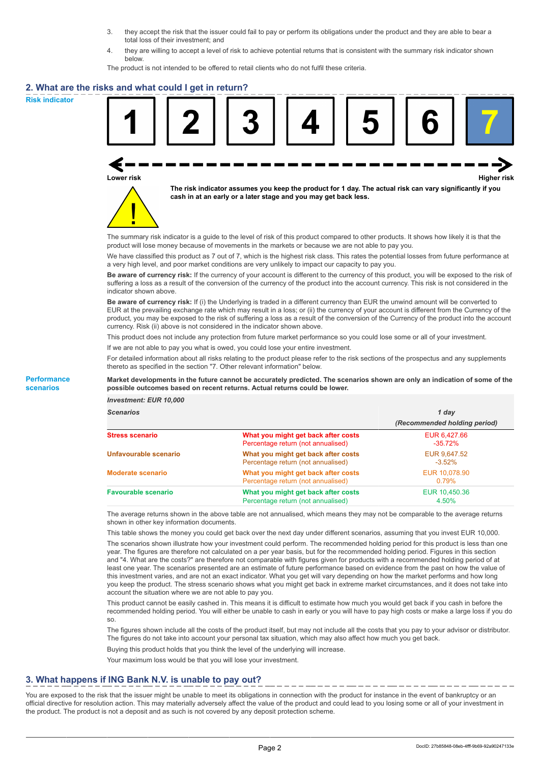- 3. they accept the risk that the issuer could fail to pay or perform its obligations under the product and they are able to bear a total loss of their investment; and
- 4. they are willing to accept a level of risk to achieve potential returns that is consistent with the summary risk indicator shown below.

The product is not intended to be offered to retail clients who do not fulfil these criteria.

#### **2. What are the risks and what could I get in return?**

**Risk indicator**

**Performance scenarios**





**The risk indicator assumes you keep the product for 1 day. The actual risk can vary significantly if you cash in at an early or a later stage and you may get back less.**

The summary risk indicator is a guide to the level of risk of this product compared to other products. It shows how likely it is that the product will lose money because of movements in the markets or because we are not able to pay you.

We have classified this product as 7 out of 7, which is the highest risk class. This rates the potential losses from future performance at a very high level, and poor market conditions are very unlikely to impact our capacity to pay you.

**Be aware of currency risk:** If the currency of your account is different to the currency of this product, you will be exposed to the risk of suffering a loss as a result of the conversion of the currency of the product into the account currency. This risk is not considered in the indicator shown above.

**Be aware of currency risk:** If (i) the Underlying is traded in a different currency than EUR the unwind amount will be converted to EUR at the prevailing exchange rate which may result in a loss; or (ii) the currency of your account is different from the Currency of the product, you may be exposed to the risk of suffering a loss as a result of the conversion of the Currency of the product into the account currency. Risk (ii) above is not considered in the indicator shown above.

This product does not include any protection from future market performance so you could lose some or all of your investment.

If we are not able to pay you what is owed, you could lose your entire investment.

For detailed information about all risks relating to the product please refer to the risk sections of the prospectus and any supplements thereto as specified in the section "7. Other relevant information" below.

#### **Market developments in the future cannot be accurately predicted. The scenarios shown are only an indication of some of the possible outcomes based on recent returns. Actual returns could be lower.**

*Investment: EUR 10,000*

| cenarios |  |  |
|----------|--|--|
|          |  |  |

| <b>Scenarios</b>           |                                                                           | 1 day                        |  |
|----------------------------|---------------------------------------------------------------------------|------------------------------|--|
|                            |                                                                           | (Recommended holding period) |  |
| Stress scenario            | What you might get back after costs<br>Percentage return (not annualised) | EUR 6.427.66<br>$-35.72%$    |  |
| Unfavourable scenario      | What you might get back after costs<br>Percentage return (not annualised) | EUR 9,647.52<br>$-3.52\%$    |  |
| <b>Moderate scenario</b>   | What you might get back after costs<br>Percentage return (not annualised) | EUR 10,078.90<br>0.79%       |  |
| <b>Favourable scenario</b> | What you might get back after costs<br>Percentage return (not annualised) | EUR 10,450.36<br>4.50%       |  |

The average returns shown in the above table are not annualised, which means they may not be comparable to the average returns shown in other key information documents.

This table shows the money you could get back over the next day under different scenarios, assuming that you invest EUR 10,000.

The scenarios shown illustrate how your investment could perform. The recommended holding period for this product is less than one year. The figures are therefore not calculated on a per year basis, but for the recommended holding period. Figures in this section and "4. What are the costs?" are therefore not comparable with figures given for products with a recommended holding period of at least one year. The scenarios presented are an estimate of future performance based on evidence from the past on how the value of this investment varies, and are not an exact indicator. What you get will vary depending on how the market performs and how long you keep the product. The stress scenario shows what you might get back in extreme market circumstances, and it does not take into account the situation where we are not able to pay you.

This product cannot be easily cashed in. This means it is difficult to estimate how much you would get back if you cash in before the recommended holding period. You will either be unable to cash in early or you will have to pay high costs or make a large loss if you do so.

The figures shown include all the costs of the product itself, but may not include all the costs that you pay to your advisor or distributor. The figures do not take into account your personal tax situation, which may also affect how much you get back.

Buying this product holds that you think the level of the underlying will increase.

Your maximum loss would be that you will lose your investment.

## **3. What happens if ING Bank N.V. is unable to pay out?**

You are exposed to the risk that the issuer might be unable to meet its obligations in connection with the product for instance in the event of bankruptcy or an official directive for resolution action. This may materially adversely affect the value of the product and could lead to you losing some or all of your investment in the product. The product is not a deposit and as such is not covered by any deposit protection scheme.